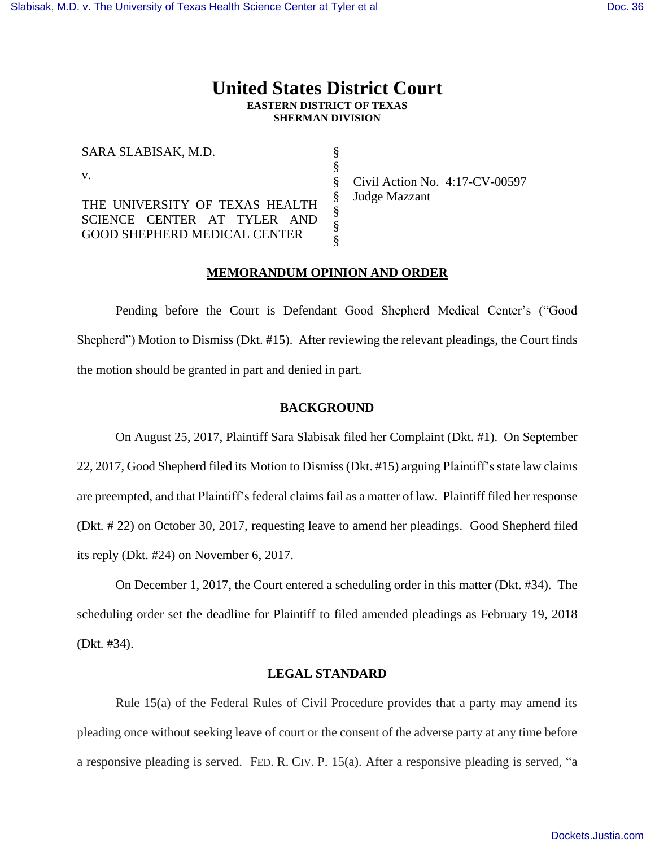# **United States District Court EASTERN DISTRICT OF TEXAS SHERMAN DIVISION**

§ § § § § § §

| SARA SLABISAK, M.D.                 |
|-------------------------------------|
| $V_{\rm -}$                         |
| THE UNIVERSITY OF TEXAS HEALTH      |
| SCIENCE CENTER AT TYLER AND         |
| <b>GOOD SHEPHERD MEDICAL CENTER</b> |

Civil Action No. 4:17-CV-00597 Judge Mazzant

## **MEMORANDUM OPINION AND ORDER**

Pending before the Court is Defendant Good Shepherd Medical Center's ("Good Shepherd") Motion to Dismiss (Dkt. #15). After reviewing the relevant pleadings, the Court finds the motion should be granted in part and denied in part.

#### **BACKGROUND**

On August 25, 2017, Plaintiff Sara Slabisak filed her Complaint (Dkt. #1). On September 22, 2017, Good Shepherd filed its Motion to Dismiss (Dkt. #15) arguing Plaintiff's state law claims are preempted, and that Plaintiff's federal claims fail as a matter of law. Plaintiff filed her response (Dkt. # 22) on October 30, 2017, requesting leave to amend her pleadings. Good Shepherd filed its reply (Dkt. #24) on November 6, 2017.

On December 1, 2017, the Court entered a scheduling order in this matter (Dkt. #34). The scheduling order set the deadline for Plaintiff to filed amended pleadings as February 19, 2018 (Dkt. #34).

#### **LEGAL STANDARD**

Rule 15(a) of the Federal Rules of Civil Procedure provides that a party may amend its pleading once without seeking leave of court or the consent of the adverse party at any time before a responsive pleading is served. FED. R. CIV. P. 15(a). After a responsive pleading is served, "a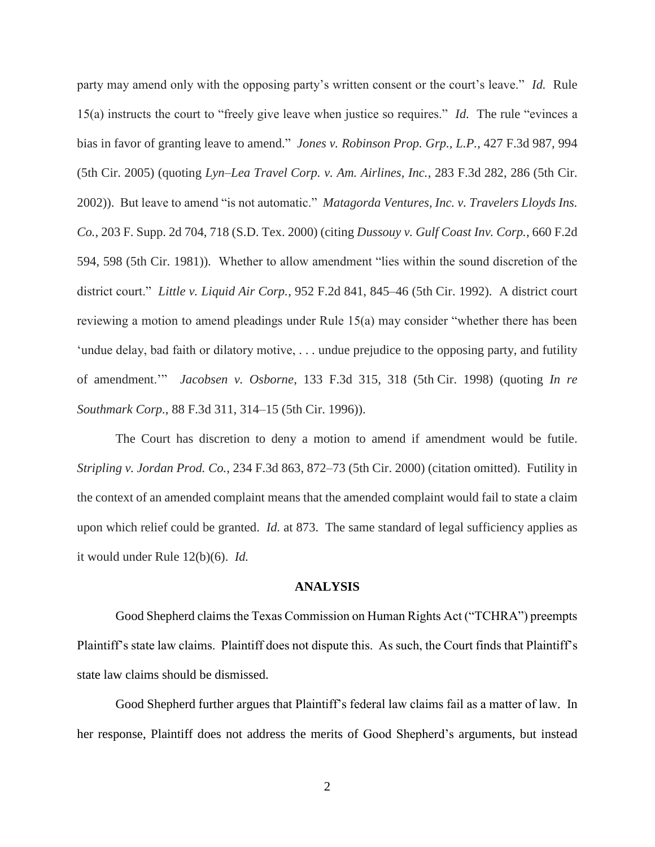party may amend only with the opposing party's written consent or the court's leave." *Id.* Rule 15(a) instructs the court to "freely give leave when justice so requires." *Id.* The rule "evinces a bias in favor of granting leave to amend." *Jones v. Robinson Prop. Grp., L.P.*, 427 F.3d 987, 994 (5th Cir. 2005) (quoting *Lyn–Lea Travel Corp. v. Am. Airlines, Inc.*, 283 F.3d 282, 286 (5th Cir. 2002)). But leave to amend "is not automatic." *Matagorda Ventures, Inc. v. Travelers Lloyds Ins. Co.*, 203 F. Supp. 2d 704, 718 (S.D. Tex. 2000) (citing *Dussouy v. Gulf Coast Inv. Corp.*, 660 F.2d 594, 598 (5th Cir. 1981)). Whether to allow amendment "lies within the sound discretion of the district court." *Little v. Liquid Air Corp.*, 952 F.2d 841, 845–46 (5th Cir. 1992). A district court reviewing a motion to amend pleadings under Rule 15(a) may consider "whether there has been 'undue delay, bad faith or dilatory motive, . . . undue prejudice to the opposing party, and futility of amendment.'" *Jacobsen v. Osborne*, 133 F.3d 315, 318 (5th Cir. 1998) (quoting *In re Southmark Corp.*, 88 F.3d 311, 314–15 (5th Cir. 1996)).

The Court has discretion to deny a motion to amend if amendment would be futile. *Stripling v. Jordan Prod. Co.*, 234 F.3d 863, 872–73 (5th Cir. 2000) (citation omitted). Futility in the context of an amended complaint means that the amended complaint would fail to state a claim upon which relief could be granted. *Id.* at 873. The same standard of legal sufficiency applies as it would under Rule 12(b)(6). *Id.*

#### **ANALYSIS**

Good Shepherd claims the Texas Commission on Human Rights Act ("TCHRA") preempts Plaintiff's state law claims. Plaintiff does not dispute this. As such, the Court finds that Plaintiff's state law claims should be dismissed.

Good Shepherd further argues that Plaintiff's federal law claims fail as a matter of law. In her response, Plaintiff does not address the merits of Good Shepherd's arguments, but instead